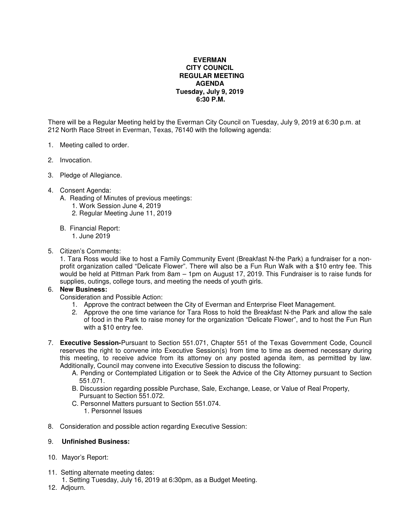## **EVERMAN CITY COUNCIL REGULAR MEETING AGENDA Tuesday, July 9, 2019 6:30 P.M.**

There will be a Regular Meeting held by the Everman City Council on Tuesday, July 9, 2019 at 6:30 p.m. at 212 North Race Street in Everman, Texas, 76140 with the following agenda:

- 1. Meeting called to order.
- 2. Invocation.
- 3. Pledge of Allegiance.
- 4. Consent Agenda:
	- A. Reading of Minutes of previous meetings:
		- 1. Work Session June 4, 2019
		- 2. Regular Meeting June 11, 2019
	- B. Financial Report:
		- 1. June 2019
- 5. Citizen's Comments:

1. Tara Ross would like to host a Family Community Event (Breakfast N-the Park) a fundraiser for a nonprofit organization called "Delicate Flower". There will also be a Fun Run Walk with a \$10 entry fee. This would be held at Pittman Park from 8am – 1pm on August 17, 2019. This Fundraiser is to raise funds for supplies, outings, college tours, and meeting the needs of youth girls.

## 6. **New Business:**

Consideration and Possible Action:

- 1. Approve the contract between the City of Everman and Enterprise Fleet Management.
- 2. Approve the one time variance for Tara Ross to hold the Breakfast N-the Park and allow the sale of food in the Park to raise money for the organization "Delicate Flower", and to host the Fun Run with a \$10 entry fee.
- 7. **Executive Session-**Pursuant to Section 551.071, Chapter 551 of the Texas Government Code, Council reserves the right to convene into Executive Session(s) from time to time as deemed necessary during this meeting, to receive advice from its attorney on any posted agenda item, as permitted by law. Additionally, Council may convene into Executive Session to discuss the following:
	- A. Pending or Contemplated Litigation or to Seek the Advice of the City Attorney pursuant to Section 551.071.
	- B. Discussion regarding possible Purchase, Sale, Exchange, Lease, or Value of Real Property, Pursuant to Section 551.072.
	- C. Personnel Matters pursuant to Section 551.074. 1. Personnel Issues
- 8. Consideration and possible action regarding Executive Session:

## 9. **Unfinished Business:**

- 10. Mayor's Report:
- 11. Setting alternate meeting dates:
- 1. Setting Tuesday, July 16, 2019 at 6:30pm, as a Budget Meeting.
- 12. Adjourn.